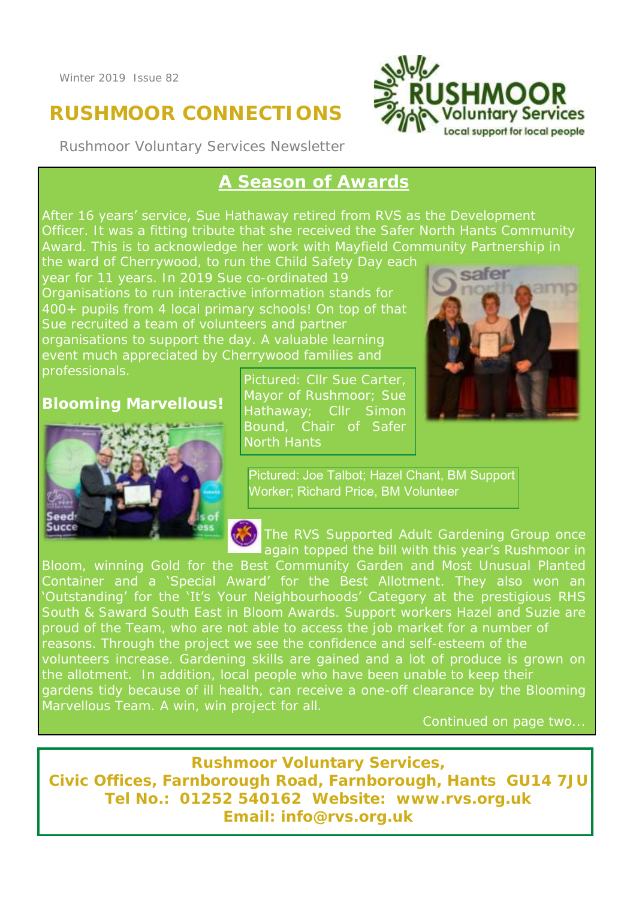# **RUSHMOOR CONNECTIONS**

Rushmoor Voluntary Services Newsletter



# **A Season of Awards**

After 16 years' service, Sue Hathaway retired from RVS as the Development Officer. It was a fitting tribute that she received the Safer North Hants Community

year for 11 years. In 2019 Sue co-ordinated 19 400+ pupils from 4 local primary schools! On top of that professionals.

### **Blooming Marvellous!**



Pictured: Cllr Sue Carter, Bound, Chair of Safer North Hants



Pictured: Joe Talbot; Hazel Chant, BM Support Worker; Richard Price, BM Volunteer

The RVS Supported Adult Gardening Group once again topped the bill with this year's Rushmoor in

Container and a 'Special Award' for the Best Allotment. They also won an 'Outstanding' for the 'It's Your Neighbourhoods' Category at the prestigious RHS South & Saward South East in Bloom Awards. Support workers Hazel and Suzie are reasons. Through the project we see the confidence and self-esteem of the Marvellous Team. A win, win project for all.

Continued on page two...

**Rushmoor Voluntary Services, Civic Offices, Farnborough Road, Farnborough, Hants GU14 7JU Tel No.: 01252 540162 Website: www.rvs.org.uk Email: info@rvs.org.uk**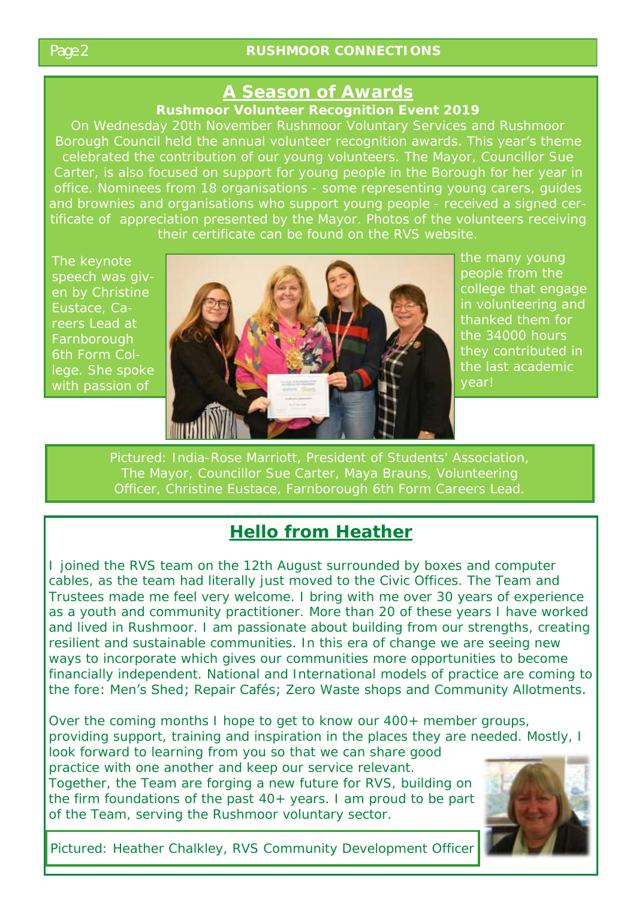# **A Season of Awards**

**Rushmoor Volunteer Recognition Event 2019**

Borough Council held the annual volunteer recognition awards. This year's theme Carter, is also focused on support for young people in the Borough for her year in their certificate can be found on the RVS website.

Eustace, Careers Lead at Farnborough



college that engage in volunteering and thanked them for the 34000 hours year!

# **Hello from Heather**

I joined the RVS team on the 12th August surrounded by boxes and computer cables, as the team had literally just moved to the Civic Offices. The Team and Trustees made me feel very welcome. I bring with me over 30 years of experience as a youth and community practitioner. More than 20 of these years I have worked and lived in Rushmoor. I am passionate about building from our strengths, creating resilient and sustainable communities. In this era of change we are seeing new ways to incorporate which gives our communities more opportunities to become financially independent. National and International models of practice are coming to the fore: Men's Shed; Repair Cafés; Zero Waste shops and Community Allotments.

Over the coming months I hope to get to know our 400+ member groups, providing support, training and inspiration in the places they are needed. Mostly, I look forward to learning from you so that we can share good practice with one another and keep our service relevant. Together, the Team are forging a new future for RVS, building on the firm foundations of the past 40+ years. I am proud to be part of the Team, serving the Rushmoor voluntary sector.



Pictured: Heather Chalkley, RVS Community Development Officer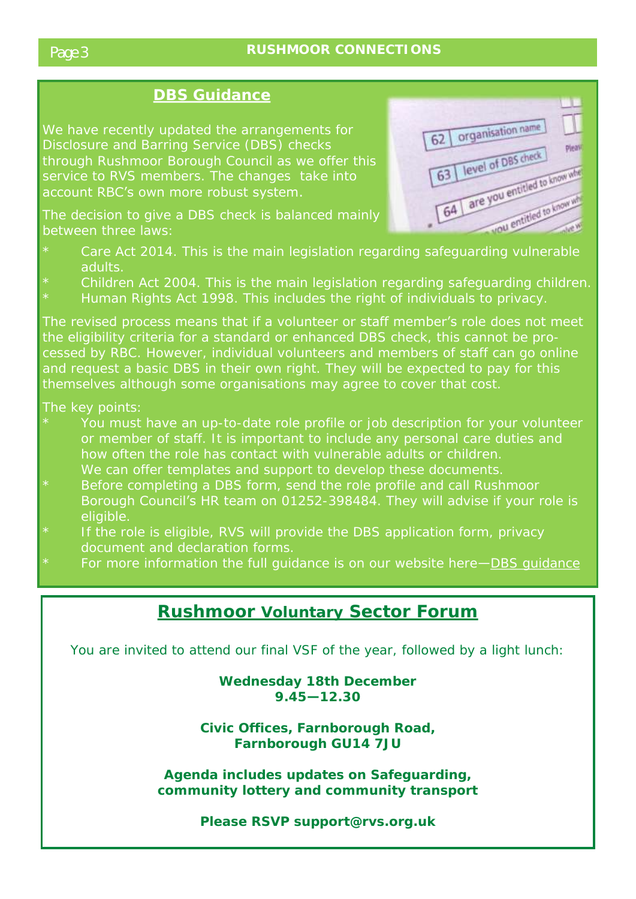#### **DBS Guidance**

We have recently updated the arrangements for through Rushmoor Borough Council as we offer this service to RVS members. The changes take into account RBC's own more robust system.

between three laws:



- adults.
- 
- Human Rights Act 1998. This includes the right of individuals to privacy.

The revised process means that if a volunteer or staff member's role does not meet the eligibility criteria for a standard or enhanced DBS check, this cannot be pro-

- or member of staff. It is important to include any personal care duties and
- Borough Council's HR team on 01252-398484. They will advise if your role is eligible.
- \* If the role is eligible, RVS will provide the DBS application form, privacy document and declaration forms.
- For more information the full guidance is on our website here-DBS guidance

# **Rushmoor Voluntary Sector Forum**

You are invited to attend our final VSF of the year, followed by a light lunch:

**Wednesday 18th December 9.45—12.30** 

**Civic Offices, Farnborough Road, Farnborough GU14 7JU**

**Agenda includes updates on Safeguarding, community lottery and community transport**

**Please RSVP support@rvs.org.uk**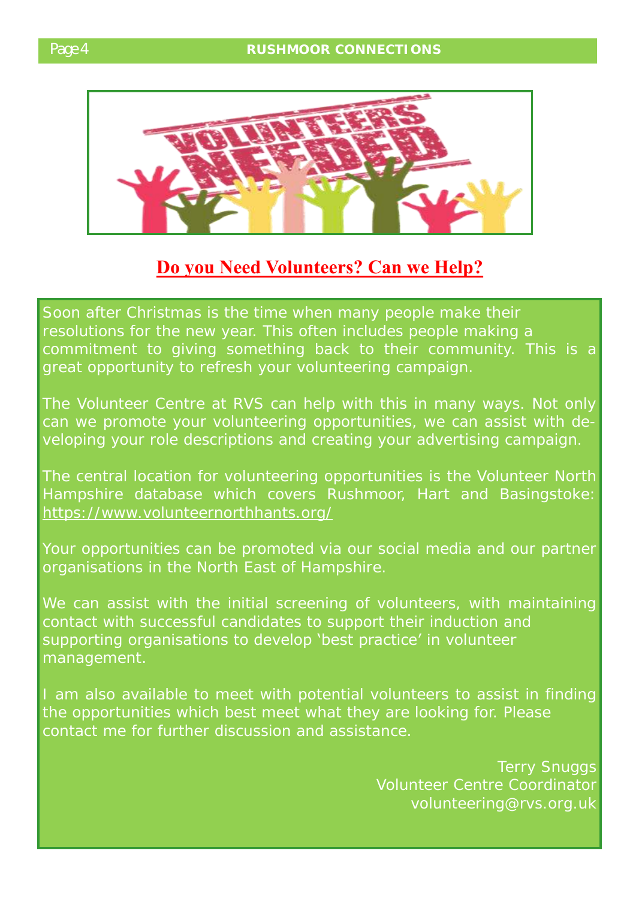

# **Do you Need Volunteers? Can we Help?**

Soon after Christmas is the time when many people make their great opportunity to refresh your volunteering campaign.

The Volunteer Centre at RVS can help with this in many ways. Not only can we promote your volunteering opportunities, we can assist with developing your role descriptions and creating your advertising campaign.

The central location for volunteering opportunities is the Volunteer North <https://www.volunteernorthhants.org/>

Your opportunities can be promoted via our social media and our partner organisations in the North East of Hampshire.

contact with successful candidates to support their induction and supporting organisations to develop 'best practice' in volunteer management.

the opportunities which best meet what they are looking for. Please contact me for further discussion and assistance.

> Terry Snuggs Volunteer Centre Coordinator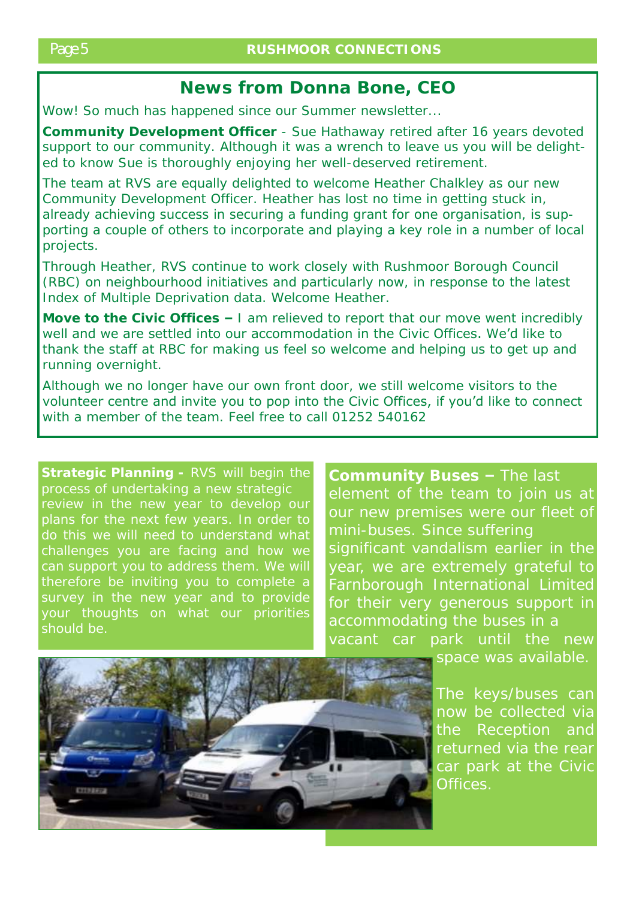## **News from Donna Bone, CEO**

Wow! So much has happened since our Summer newsletter...

**Community Development Officer** - Sue Hathaway retired after 16 years devoted support to our community. Although it was a wrench to leave us you will be delighted to know Sue is thoroughly enjoying her well-deserved retirement.

The team at RVS are equally delighted to welcome Heather Chalkley as our new Community Development Officer. Heather has lost no time in getting stuck in, already achieving success in securing a funding grant for one organisation, is supporting a couple of others to incorporate and playing a key role in a number of local projects.

Through Heather, RVS continue to work closely with Rushmoor Borough Council (RBC) on neighbourhood initiatives and particularly now, in response to the latest Index of Multiple Deprivation data. Welcome Heather.

**Move to the Civic Offices –** I am relieved to report that our move went incredibly well and we are settled into our accommodation in the Civic Offices. We'd like to thank the staff at RBC for making us feel so welcome and helping us to get up and running overnight.

Although we no longer have our own front door, we still welcome visitors to the volunteer centre and invite you to pop into the Civic Offices, if you'd like to connect with a member of the team. Feel free to call 01252 540162

process of undertaking a new strategic plans for the next few years. In order to do this we will need to understand what can support you to address them. We will your thoughts on what our priorities <sub>.</sub><br>should be.

**Community Buses –** The last our new premises were our fleet of mini-buses. Since suffering significant vandalism earlier in the Farnborough International Limited for their very generous support in vacant car park until the new



now be collected via the Reception and car park at the Civic Offices.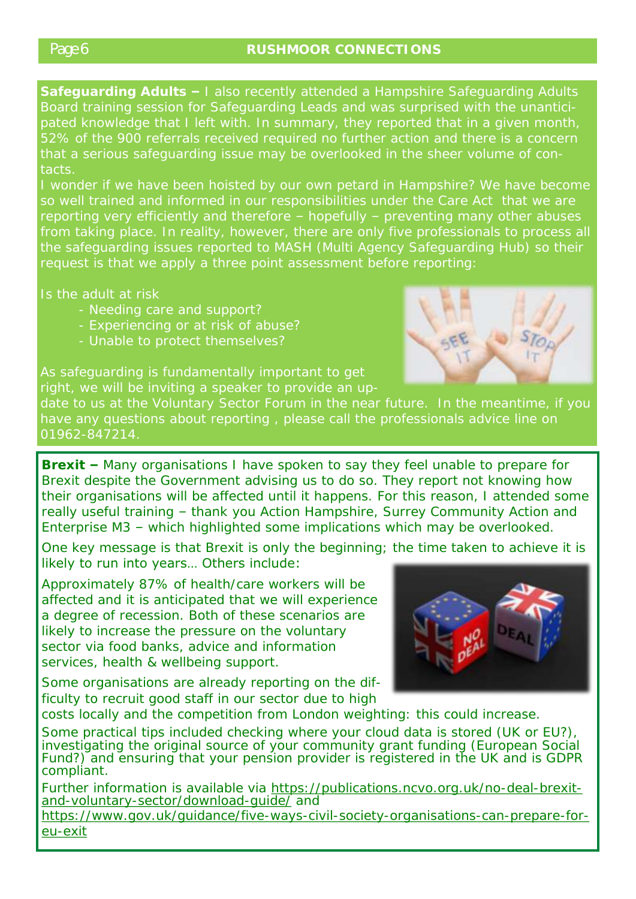**Safeguarding Adults –** I also recently attended a Hampshire Safeguarding Adults Board training session for Safeguarding Leads and was surprised with the unanticithat a serious safeguarding issue may be overlooked in the sheer volume of contacts.

the safeguarding issues reported to MASH (Multi Agency Safeguarding Hub) so their request is that we apply a three point assessment before reporting:

Is the adult at risk

- Needing care and support?
- Experiencing or at risk of abuse?
- 

date to us at the Voluntary Sector Forum in the near future. In the meantime, if you 01962-847214.

**Brexit –** Many organisations I have spoken to say they feel unable to prepare for Brexit despite the Government advising us to do so. They report not knowing how their organisations will be affected until it happens. For this reason, I attended some really useful training – thank you Action Hampshire, Surrey Community Action and Enterprise M3 – which highlighted some implications which may be overlooked.

One key message is that Brexit is only the beginning; the time taken to achieve it is likely to run into years… Others include:

Approximately 87% of health/care workers will be affected and it is anticipated that we will experience a degree of recession. Both of these scenarios are likely to increase the pressure on the voluntary sector via food banks, advice and information services, health & wellbeing support.

Some organisations are already reporting on the difficulty to recruit good staff in our sector due to high



costs locally and the competition from London weighting: this could increase.

Some practical tips included checking where your cloud data is stored (UK or EU?), investigating the original source of your community grant funding (European Social Fund?) and ensuring that your pension provider is registered in the UK and is GDPR compliant.

Further information is available via [https://publications.ncvo.org.uk/no-deal-brexit](https://publications.ncvo.org.uk/no-deal-brexit-and-voluntary-sector/download-guide/)[and-voluntary-sector/download-guide/](https://publications.ncvo.org.uk/no-deal-brexit-and-voluntary-sector/download-guide/) and

[https://www.gov.uk/guidance/five-ways-civil-society-organisations-can-prepare-for](https://www.gov.uk/guidance/five-ways-civil-society-organisations-can-prepare-for-eu-exit)[eu-exit](https://www.gov.uk/guidance/five-ways-civil-society-organisations-can-prepare-for-eu-exit)

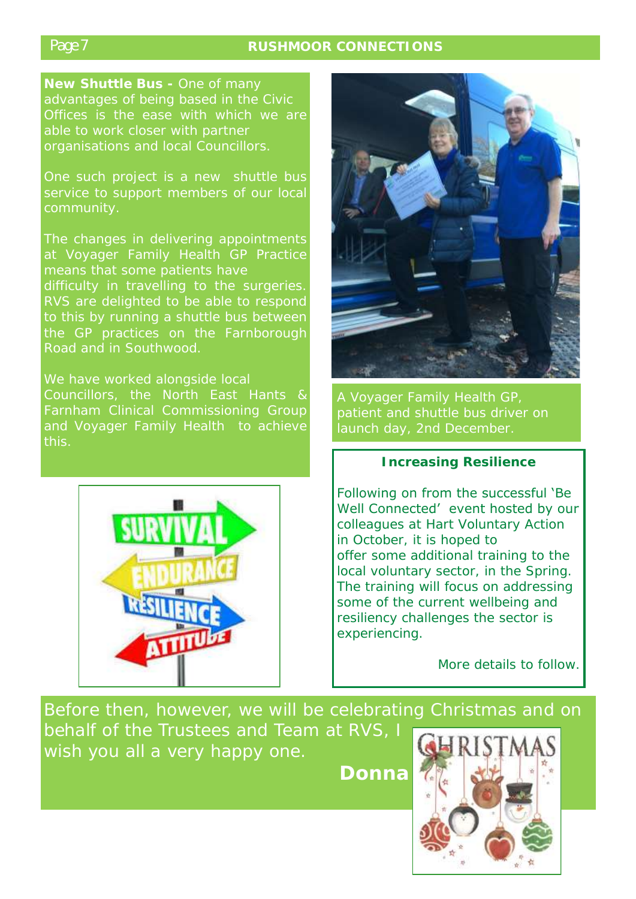### Page 7 **RUSHMOOR CONNECTIONS**

advantages of being based in the Civic organisations and local Councillors.

service to support members of our local

RVS are delighted to be able to respond the GP practices on the Farnborough Road and in Southwood.

We have worked alongside local Farnham Clinical Commissioning Group





#### **Increasing Resilience**

Following on from the successful 'Be Well Connected' event hosted by our colleagues at Hart Voluntary Action in October, it is hoped to offer some additional training to the local voluntary sector, in the Spring. The training will focus on addressing some of the current wellbeing and resiliency challenges the sector is experiencing.

More details to follow.

Before then, however, we will be celebrating Christmas and on behalf of the Trustees and Team at RVS, I wish you all a very happy one.

**Donna**